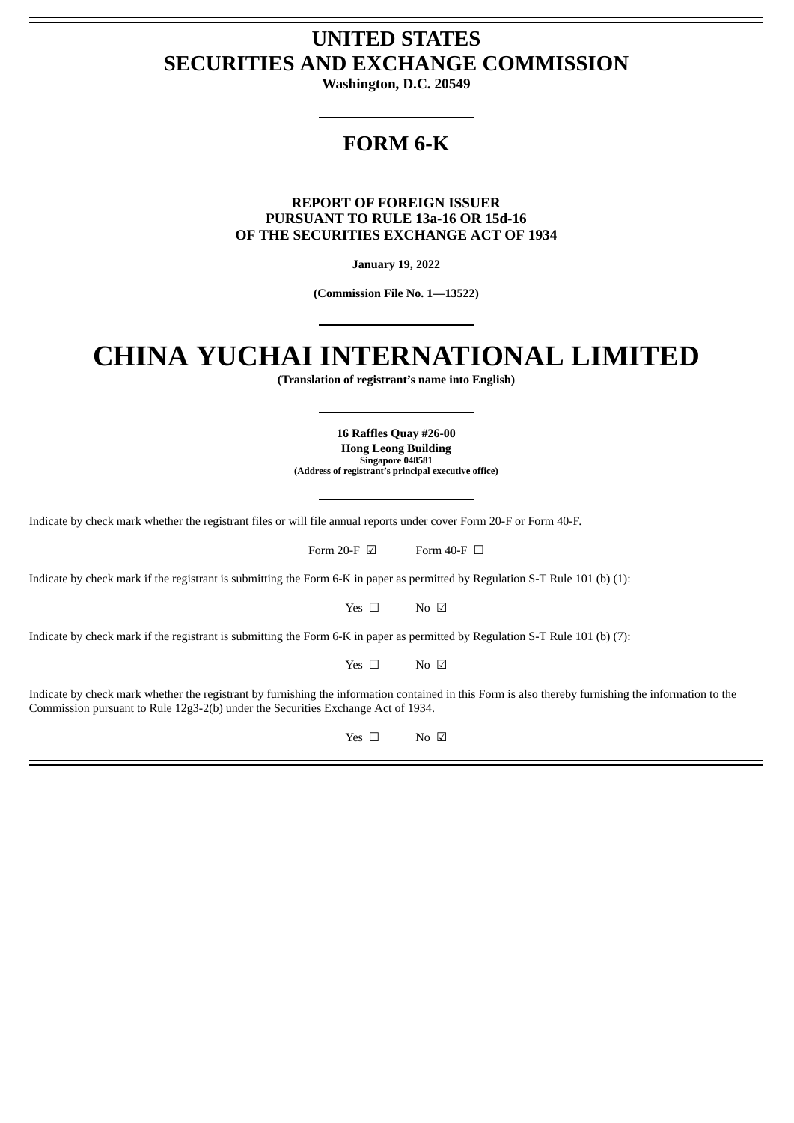# **UNITED STATES SECURITIES AND EXCHANGE COMMISSION**

**Washington, D.C. 20549**

# **FORM 6-K**

**REPORT OF FOREIGN ISSUER PURSUANT TO RULE 13a-16 OR 15d-16 OF THE SECURITIES EXCHANGE ACT OF 1934**

**January 19, 2022**

**(Commission File No. 1—13522)**

# **CHINA YUCHAI INTERNATIONAL LIMITED**

**(Translation of registrant's name into English)**

**16 Raffles Quay #26-00 Hong Leong Building Singapore 048581 (Address of registrant's principal executive office)**

Indicate by check mark whether the registrant files or will file annual reports under cover Form 20-F or Form 40-F.

| Form 20-F $\boxtimes$ |
|-----------------------|
|-----------------------|

Indicate by check mark if the registrant is submitting the Form 6-K in paper as permitted by Regulation S-T Rule 101 (b) (1):

Yes □ No ☑

Indicate by check mark if the registrant is submitting the Form 6-K in paper as permitted by Regulation S-T Rule 101 (b) (7):

Yes □ No ☑

Indicate by check mark whether the registrant by furnishing the information contained in this Form is also thereby furnishing the information to the Commission pursuant to Rule 12g3-2(b) under the Securities Exchange Act of 1934.

Yes □ No ☑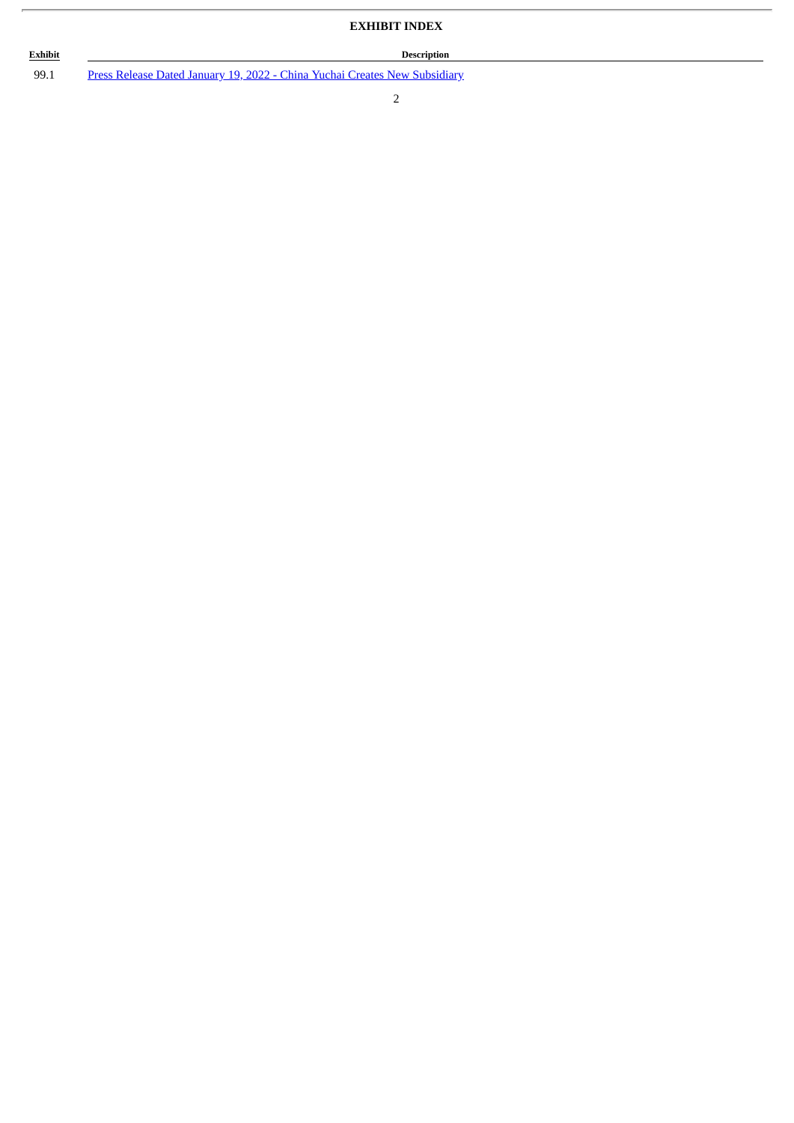## **EXHIBIT INDEX**

## **Exhibit Description**

ł.

99.1 Press Release Dated January 19, 2022 - China Yuchai Creates New [Subsidiary](#page-3-0)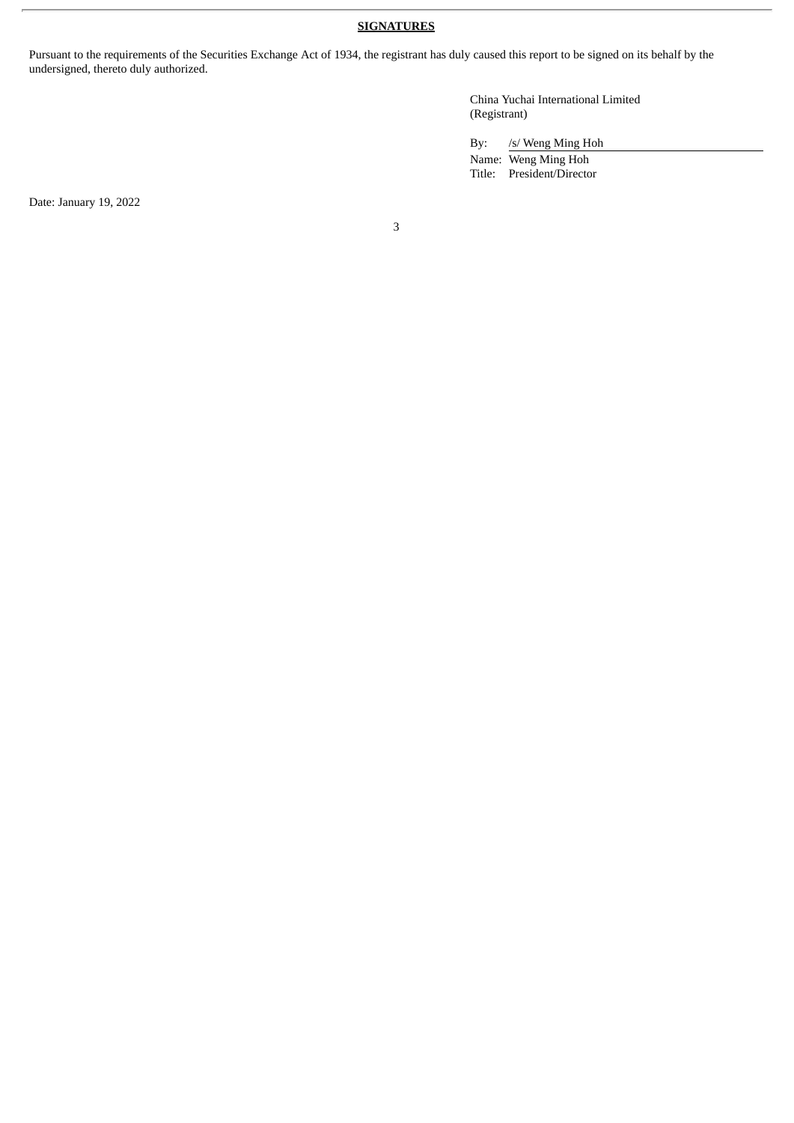## **SIGNATURES**

Pursuant to the requirements of the Securities Exchange Act of 1934, the registrant has duly caused this report to be signed on its behalf by the undersigned, thereto duly authorized.

> China Yuchai International Limited (Registrant)

By: /s/ Weng Ming Hoh

Name: Weng Ming Hoh Title: President/Director

Date: January 19, 2022

3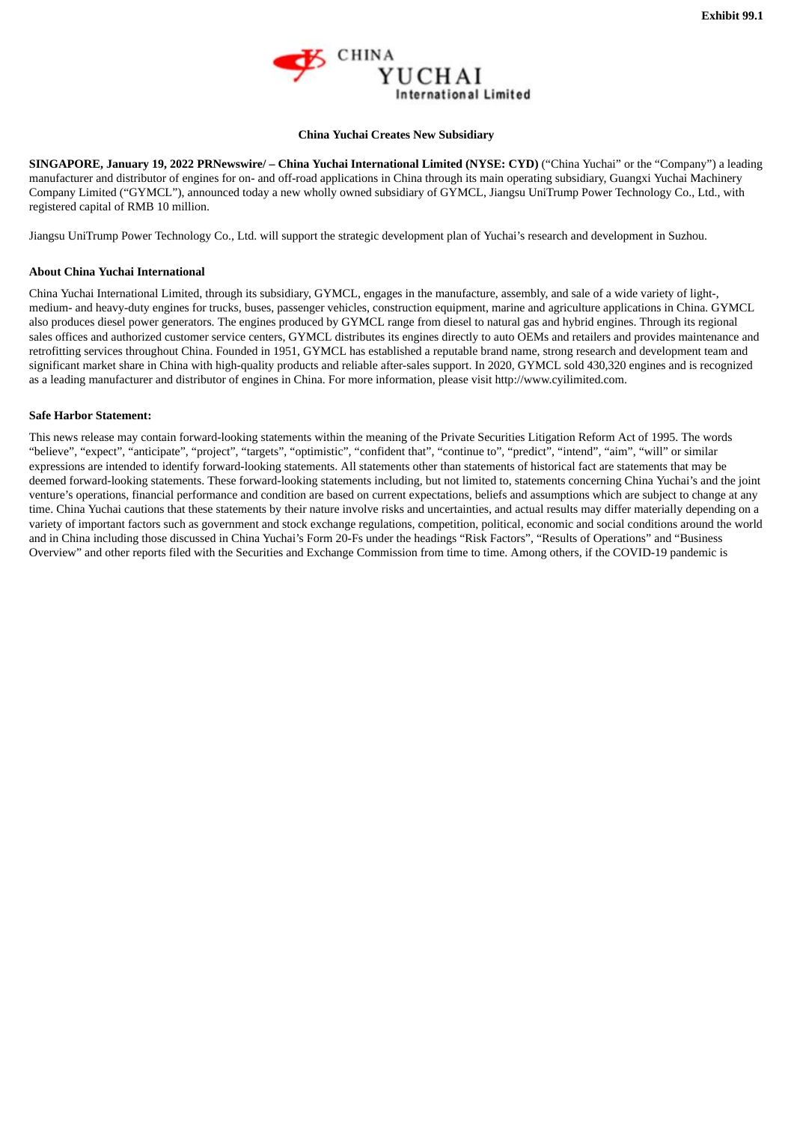

#### **China Yuchai Creates New Subsidiary**

<span id="page-3-0"></span>**SINGAPORE, January 19, 2022 PRNewswire/ – China Yuchai International Limited (NYSE: CYD)** ("China Yuchai" or the "Company") a leading manufacturer and distributor of engines for on- and off-road applications in China through its main operating subsidiary, Guangxi Yuchai Machinery Company Limited ("GYMCL"), announced today a new wholly owned subsidiary of GYMCL, Jiangsu UniTrump Power Technology Co., Ltd., with registered capital of RMB 10 million.

Jiangsu UniTrump Power Technology Co., Ltd. will support the strategic development plan of Yuchai's research and development in Suzhou.

#### **About China Yuchai International**

China Yuchai International Limited, through its subsidiary, GYMCL, engages in the manufacture, assembly, and sale of a wide variety of light-, medium- and heavy-duty engines for trucks, buses, passenger vehicles, construction equipment, marine and agriculture applications in China. GYMCL also produces diesel power generators. The engines produced by GYMCL range from diesel to natural gas and hybrid engines. Through its regional sales offices and authorized customer service centers, GYMCL distributes its engines directly to auto OEMs and retailers and provides maintenance and retrofitting services throughout China. Founded in 1951, GYMCL has established a reputable brand name, strong research and development team and significant market share in China with high-quality products and reliable after-sales support. In 2020, GYMCL sold 430,320 engines and is recognized as a leading manufacturer and distributor of engines in China. For more information, please visit http://www.cyilimited.com.

#### **Safe Harbor Statement:**

This news release may contain forward-looking statements within the meaning of the Private Securities Litigation Reform Act of 1995. The words "believe", "expect", "anticipate", "project", "targets", "optimistic", "confident that", "continue to", "predict", "intend", "aim", "will" or similar expressions are intended to identify forward-looking statements. All statements other than statements of historical fact are statements that may be deemed forward-looking statements. These forward-looking statements including, but not limited to, statements concerning China Yuchai's and the joint venture's operations, financial performance and condition are based on current expectations, beliefs and assumptions which are subject to change at any time. China Yuchai cautions that these statements by their nature involve risks and uncertainties, and actual results may differ materially depending on a variety of important factors such as government and stock exchange regulations, competition, political, economic and social conditions around the world and in China including those discussed in China Yuchai's Form 20-Fs under the headings "Risk Factors", "Results of Operations" and "Business Overview" and other reports filed with the Securities and Exchange Commission from time to time. Among others, if the COVID-19 pandemic is